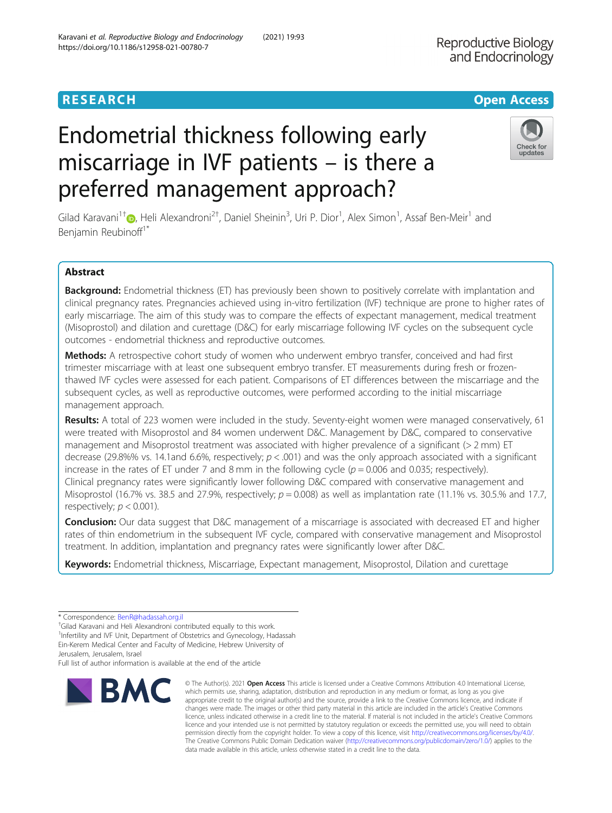# Endometrial thickness following early miscarriage in IVF patients – is there a preferred management approach?

Gilad Karavani<sup>1†</sup>®[,](http://orcid.org/0000-0003-1848-4560) Heli Alexandroni<sup>2†</sup>, Daniel Sheinin<sup>3</sup>, Uri P. Dior<sup>1</sup>, Alex Simon<sup>1</sup>, Assaf Ben-Meir<sup>1</sup> and Benjamin Reubinoff<sup>1\*</sup>

## Abstract

Background: Endometrial thickness (ET) has previously been shown to positively correlate with implantation and clinical pregnancy rates. Pregnancies achieved using in-vitro fertilization (IVF) technique are prone to higher rates of early miscarriage. The aim of this study was to compare the effects of expectant management, medical treatment (Misoprostol) and dilation and curettage (D&C) for early miscarriage following IVF cycles on the subsequent cycle outcomes - endometrial thickness and reproductive outcomes.

Methods: A retrospective cohort study of women who underwent embryo transfer, conceived and had first trimester miscarriage with at least one subsequent embryo transfer. ET measurements during fresh or frozenthawed IVF cycles were assessed for each patient. Comparisons of ET differences between the miscarriage and the subsequent cycles, as well as reproductive outcomes, were performed according to the initial miscarriage management approach.

Results: A total of 223 women were included in the study. Seventy-eight women were managed conservatively, 61 were treated with Misoprostol and 84 women underwent D&C. Management by D&C, compared to conservative management and Misoprostol treatment was associated with higher prevalence of a significant (> 2 mm) ET decrease (29.8%% vs. 14.1and 6.6%, respectively;  $p < .001$ ) and was the only approach associated with a significant increase in the rates of ET under 7 and 8 mm in the following cycle  $(p = 0.006$  and 0.035; respectively). Clinical pregnancy rates were significantly lower following D&C compared with conservative management and Misoprostol (16.7% vs. 38.5 and 27.9%, respectively;  $p = 0.008$ ) as well as implantation rate (11.1% vs. 30.5.% and 17.7, respectively;  $p < 0.001$ ).

**Conclusion:** Our data suggest that D&C management of a miscarriage is associated with decreased ET and higher rates of thin endometrium in the subsequent IVF cycle, compared with conservative management and Misoprostol treatment. In addition, implantation and pregnancy rates were significantly lower after D&C.

Keywords: Endometrial thickness, Miscarriage, Expectant management, Misoprostol, Dilation and curettage

Gilad Karavani and Heli Alexandroni contributed equally to this work.

<sup>1</sup>Infertility and IVF Unit, Department of Obstetrics and Gynecology, Hadassah Ein-Kerem Medical Center and Faculty of Medicine, Hebrew University of Jerusalem, Jerusalem, Israel

**BMC** 

Full list of author information is available at the end of the article



© The Author(s), 2021 **Open Access** This article is licensed under a Creative Commons Attribution 4.0 International License, which permits use, sharing, adaptation, distribution and reproduction in any medium or format, as long as you give

**RESEARCH CHE Open Access** 



<sup>\*</sup> Correspondence: [BenR@hadassah.org.il](mailto:BenR@hadassah.org.il) †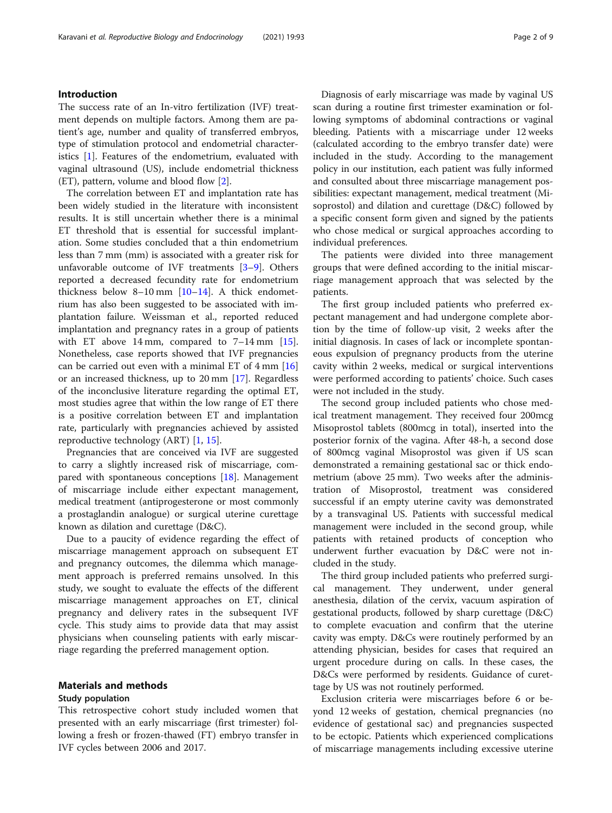#### Introduction

The success rate of an In-vitro fertilization (IVF) treatment depends on multiple factors. Among them are patient's age, number and quality of transferred embryos, type of stimulation protocol and endometrial characteristics [[1](#page-8-0)]. Features of the endometrium, evaluated with vaginal ultrasound (US), include endometrial thickness (ET), pattern, volume and blood flow [\[2](#page-8-0)].

The correlation between ET and implantation rate has been widely studied in the literature with inconsistent results. It is still uncertain whether there is a minimal ET threshold that is essential for successful implantation. Some studies concluded that a thin endometrium less than 7 mm (mm) is associated with a greater risk for unfavorable outcome of IVF treatments [\[3](#page-8-0)–[9\]](#page-8-0). Others reported a decreased fecundity rate for endometrium thickness below 8–10 mm [[10](#page-8-0)–[14](#page-8-0)]. A thick endometrium has also been suggested to be associated with implantation failure. Weissman et al., reported reduced implantation and pregnancy rates in a group of patients with ET above 14 mm, compared to 7-14 mm [\[15](#page-8-0)]. Nonetheless, case reports showed that IVF pregnancies can be carried out even with a minimal ET of 4 mm [[16](#page-8-0)] or an increased thickness, up to 20 mm [[17\]](#page-8-0). Regardless of the inconclusive literature regarding the optimal ET, most studies agree that within the low range of ET there is a positive correlation between ET and implantation rate, particularly with pregnancies achieved by assisted reproductive technology (ART) [[1,](#page-8-0) [15\]](#page-8-0).

Pregnancies that are conceived via IVF are suggested to carry a slightly increased risk of miscarriage, compared with spontaneous conceptions [[18](#page-8-0)]. Management of miscarriage include either expectant management, medical treatment (antiprogesterone or most commonly a prostaglandin analogue) or surgical uterine curettage known as dilation and curettage (D&C).

Due to a paucity of evidence regarding the effect of miscarriage management approach on subsequent ET and pregnancy outcomes, the dilemma which management approach is preferred remains unsolved. In this study, we sought to evaluate the effects of the different miscarriage management approaches on ET, clinical pregnancy and delivery rates in the subsequent IVF cycle. This study aims to provide data that may assist physicians when counseling patients with early miscarriage regarding the preferred management option.

#### Materials and methods

#### Study population

This retrospective cohort study included women that presented with an early miscarriage (first trimester) following a fresh or frozen-thawed (FT) embryo transfer in IVF cycles between 2006 and 2017.

Diagnosis of early miscarriage was made by vaginal US scan during a routine first trimester examination or following symptoms of abdominal contractions or vaginal bleeding. Patients with a miscarriage under 12 weeks (calculated according to the embryo transfer date) were included in the study. According to the management policy in our institution, each patient was fully informed and consulted about three miscarriage management possibilities: expectant management, medical treatment (Misoprostol) and dilation and curettage (D&C) followed by a specific consent form given and signed by the patients who chose medical or surgical approaches according to individual preferences.

The patients were divided into three management groups that were defined according to the initial miscarriage management approach that was selected by the patients.

The first group included patients who preferred expectant management and had undergone complete abortion by the time of follow-up visit, 2 weeks after the initial diagnosis. In cases of lack or incomplete spontaneous expulsion of pregnancy products from the uterine cavity within 2 weeks, medical or surgical interventions were performed according to patients' choice. Such cases were not included in the study.

The second group included patients who chose medical treatment management. They received four 200mcg Misoprostol tablets (800mcg in total), inserted into the posterior fornix of the vagina. After 48-h, a second dose of 800mcg vaginal Misoprostol was given if US scan demonstrated a remaining gestational sac or thick endometrium (above 25 mm). Two weeks after the administration of Misoprostol, treatment was considered successful if an empty uterine cavity was demonstrated by a transvaginal US. Patients with successful medical management were included in the second group, while patients with retained products of conception who underwent further evacuation by D&C were not included in the study.

The third group included patients who preferred surgical management. They underwent, under general anesthesia, dilation of the cervix, vacuum aspiration of gestational products, followed by sharp curettage (D&C) to complete evacuation and confirm that the uterine cavity was empty. D&Cs were routinely performed by an attending physician, besides for cases that required an urgent procedure during on calls. In these cases, the D&Cs were performed by residents. Guidance of curettage by US was not routinely performed.

Exclusion criteria were miscarriages before 6 or beyond 12 weeks of gestation, chemical pregnancies (no evidence of gestational sac) and pregnancies suspected to be ectopic. Patients which experienced complications of miscarriage managements including excessive uterine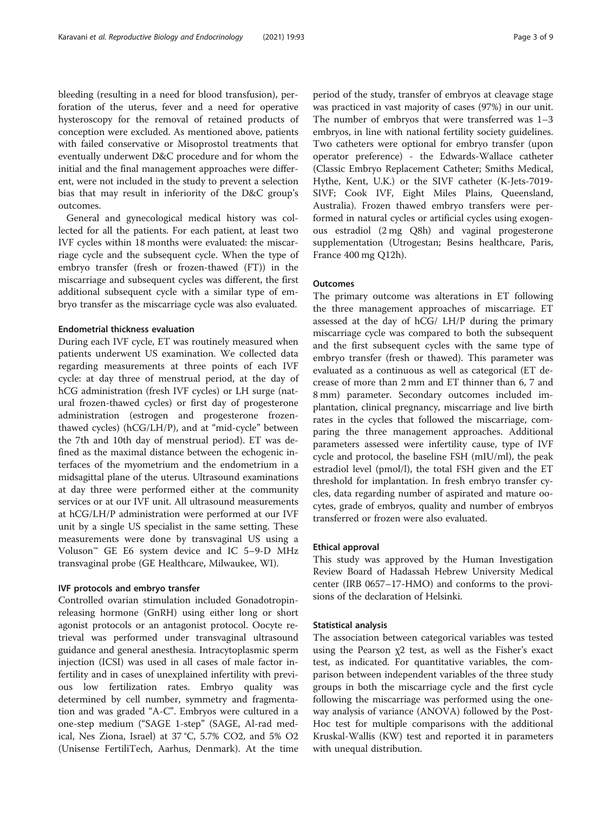bleeding (resulting in a need for blood transfusion), perforation of the uterus, fever and a need for operative hysteroscopy for the removal of retained products of conception were excluded. As mentioned above, patients with failed conservative or Misoprostol treatments that eventually underwent D&C procedure and for whom the initial and the final management approaches were different, were not included in the study to prevent a selection bias that may result in inferiority of the D&C group's outcomes.

General and gynecological medical history was collected for all the patients. For each patient, at least two IVF cycles within 18 months were evaluated: the miscarriage cycle and the subsequent cycle. When the type of embryo transfer (fresh or frozen-thawed (FT)) in the miscarriage and subsequent cycles was different, the first additional subsequent cycle with a similar type of embryo transfer as the miscarriage cycle was also evaluated.

#### Endometrial thickness evaluation

During each IVF cycle, ET was routinely measured when patients underwent US examination. We collected data regarding measurements at three points of each IVF cycle: at day three of menstrual period, at the day of hCG administration (fresh IVF cycles) or LH surge (natural frozen-thawed cycles) or first day of progesterone administration (estrogen and progesterone frozenthawed cycles) (hCG/LH/P), and at "mid-cycle" between the 7th and 10th day of menstrual period). ET was defined as the maximal distance between the echogenic interfaces of the myometrium and the endometrium in a midsagittal plane of the uterus. Ultrasound examinations at day three were performed either at the community services or at our IVF unit. All ultrasound measurements at hCG/LH/P administration were performed at our IVF unit by a single US specialist in the same setting. These measurements were done by transvaginal US using a Voluson™ GE E6 system device and IC 5–9-D MHz transvaginal probe (GE Healthcare, Milwaukee, WI).

#### IVF protocols and embryo transfer

Controlled ovarian stimulation included Gonadotropinreleasing hormone (GnRH) using either long or short agonist protocols or an antagonist protocol. Oocyte retrieval was performed under transvaginal ultrasound guidance and general anesthesia. Intracytoplasmic sperm injection (ICSI) was used in all cases of male factor infertility and in cases of unexplained infertility with previous low fertilization rates. Embryo quality was determined by cell number, symmetry and fragmentation and was graded "A-C". Embryos were cultured in a one-step medium ("SAGE 1-step" (SAGE, Al-rad medical, Nes Ziona, Israel) at 37 °C, 5.7% CO2, and 5% O2 (Unisense FertiliTech, Aarhus, Denmark). At the time period of the study, transfer of embryos at cleavage stage was practiced in vast majority of cases (97%) in our unit. The number of embryos that were transferred was 1–3 embryos, in line with national fertility society guidelines. Two catheters were optional for embryo transfer (upon operator preference) - the Edwards-Wallace catheter (Classic Embryo Replacement Catheter; Smiths Medical, Hythe, Kent, U.K.) or the SIVF catheter (K-Jets-7019- SIVF; Cook IVF, Eight Miles Plains, Queensland, Australia). Frozen thawed embryo transfers were performed in natural cycles or artificial cycles using exogenous estradiol (2 mg Q8h) and vaginal progesterone supplementation (Utrogestan; Besins healthcare, Paris, France 400 mg Q12h).

#### **Outcomes**

The primary outcome was alterations in ET following the three management approaches of miscarriage. ET assessed at the day of hCG/ LH/P during the primary miscarriage cycle was compared to both the subsequent and the first subsequent cycles with the same type of embryo transfer (fresh or thawed). This parameter was evaluated as a continuous as well as categorical (ET decrease of more than 2 mm and ET thinner than 6, 7 and 8 mm) parameter. Secondary outcomes included implantation, clinical pregnancy, miscarriage and live birth rates in the cycles that followed the miscarriage, comparing the three management approaches. Additional parameters assessed were infertility cause, type of IVF cycle and protocol, the baseline FSH (mIU/ml), the peak estradiol level (pmol/l), the total FSH given and the ET threshold for implantation. In fresh embryo transfer cycles, data regarding number of aspirated and mature oocytes, grade of embryos, quality and number of embryos transferred or frozen were also evaluated.

#### Ethical approval

This study was approved by the Human Investigation Review Board of Hadassah Hebrew University Medical center (IRB 0657–17-HMO) and conforms to the provisions of the declaration of Helsinki.

#### Statistical analysis

The association between categorical variables was tested using the Pearson  $\chi$ 2 test, as well as the Fisher's exact test, as indicated. For quantitative variables, the comparison between independent variables of the three study groups in both the miscarriage cycle and the first cycle following the miscarriage was performed using the oneway analysis of variance (ANOVA) followed by the Post-Hoc test for multiple comparisons with the additional Kruskal-Wallis (KW) test and reported it in parameters with unequal distribution.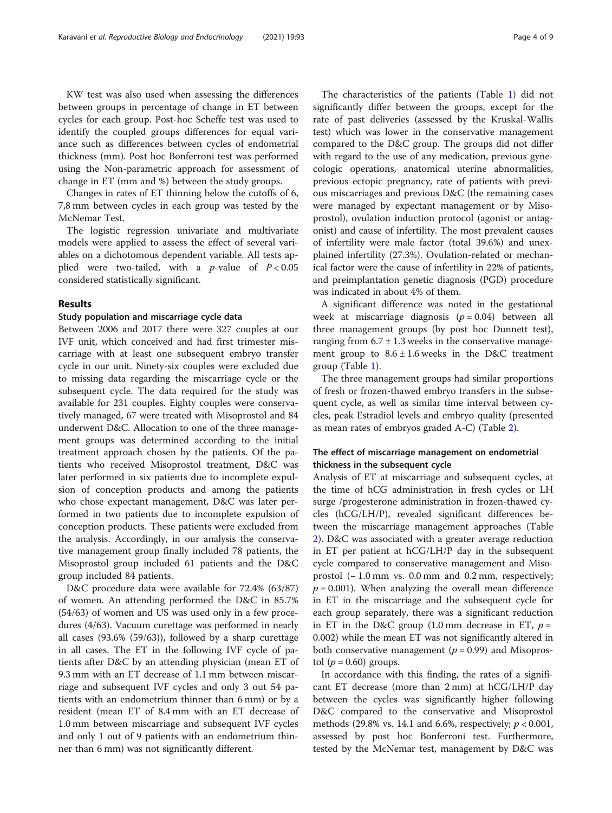KW test was also used when assessing the differences between groups in percentage of change in ET between cycles for each group. Post-hoc Scheffe test was used to identify the coupled groups differences for equal variance such as differences between cycles of endometrial thickness (mm). Post hoc Bonferroni test was performed using the Non-parametric approach for assessment of change in ET (mm and %) between the study groups.

Changes in rates of ET thinning below the cutoffs of 6, 7,8 mm between cycles in each group was tested by the McNemar Test.

The logistic regression univariate and multivariate models were applied to assess the effect of several variables on a dichotomous dependent variable. All tests applied were two-tailed, with a *p*-value of  $P < 0.05$ considered statistically significant.

#### Results

#### Study population and miscarriage cycle data

Between 2006 and 2017 there were 327 couples at our IVF unit, which conceived and had first trimester miscarriage with at least one subsequent embryo transfer cycle in our unit. Ninety-six couples were excluded due to missing data regarding the miscarriage cycle or the subsequent cycle. The data required for the study was available for 231 couples. Eighty couples were conservatively managed, 67 were treated with Misoprostol and 84 underwent D&C. Allocation to one of the three management groups was determined according to the initial treatment approach chosen by the patients. Of the patients who received Misoprostol treatment, D&C was later performed in six patients due to incomplete expulsion of conception products and among the patients who chose expectant management, D&C was later performed in two patients due to incomplete expulsion of conception products. These patients were excluded from the analysis. Accordingly, in our analysis the conservative management group finally included 78 patients, the Misoprostol group included 61 patients and the D&C group included 84 patients.

D&C procedure data were available for 72.4% (63/87) of women. An attending performed the D&C in 85.7% (54/63) of women and US was used only in a few procedures (4/63). Vacuum curettage was performed in nearly all cases (93.6% (59/63)), followed by a sharp curettage in all cases. The ET in the following IVF cycle of patients after D&C by an attending physician (mean ET of 9.3 mm with an ET decrease of 1.1 mm between miscarriage and subsequent IVF cycles and only 3 out 54 patients with an endometrium thinner than 6 mm) or by a resident (mean ET of 8.4 mm with an ET decrease of 1.0 mm between miscarriage and subsequent IVF cycles and only 1 out of 9 patients with an endometrium thinner than 6 mm) was not significantly different.

The characteristics of the patients (Table [1](#page-4-0)) did not significantly differ between the groups, except for the rate of past deliveries (assessed by the Kruskal-Wallis test) which was lower in the conservative management compared to the D&C group. The groups did not differ with regard to the use of any medication, previous gynecologic operations, anatomical uterine abnormalities, previous ectopic pregnancy, rate of patients with previous miscarriages and previous D&C (the remaining cases were managed by expectant management or by Misoprostol), ovulation induction protocol (agonist or antagonist) and cause of infertility. The most prevalent causes of infertility were male factor (total 39.6%) and unexplained infertility (27.3%). Ovulation-related or mechanical factor were the cause of infertility in 22% of patients, and preimplantation genetic diagnosis (PGD) procedure was indicated in about 4% of them.

A significant difference was noted in the gestational week at miscarriage diagnosis  $(p = 0.04)$  between all three management groups (by post hoc Dunnett test), ranging from  $6.7 \pm 1.3$  weeks in the conservative management group to  $8.6 \pm 1.6$  weeks in the D&C treatment group (Table [1\)](#page-4-0).

The three management groups had similar proportions of fresh or frozen-thawed embryo transfers in the subsequent cycle, as well as similar time interval between cycles, peak Estradiol levels and embryo quality (presented as mean rates of embryos graded A-C) (Table [2\)](#page-5-0).

#### The effect of miscarriage management on endometrial thickness in the subsequent cycle

Analysis of ET at miscarriage and subsequent cycles, at the time of hCG administration in fresh cycles or LH surge /progesterone administration in frozen-thawed cycles (hCG/LH/P), revealed significant differences between the miscarriage management approaches (Table [2\)](#page-5-0). D&C was associated with a greater average reduction in ET per patient at hCG/LH/P day in the subsequent cycle compared to conservative management and Misoprostol (− 1.0 mm vs. 0.0 mm and 0.2 mm, respectively;  $p = 0.001$ ). When analyzing the overall mean difference in ET in the miscarriage and the subsequent cycle for each group separately, there was a significant reduction in ET in the D&C group  $(1.0 \text{ mm}$  decrease in ET,  $p =$ 0.002) while the mean ET was not significantly altered in both conservative management ( $p = 0.99$ ) and Misoprostol ( $p = 0.60$ ) groups.

In accordance with this finding, the rates of a significant ET decrease (more than 2 mm) at hCG/LH/P day between the cycles was significantly higher following D&C compared to the conservative and Misoprostol methods (29.8% vs. 14.1 and 6.6%, respectively;  $p < 0.001$ , assessed by post hoc Bonferroni test. Furthermore, tested by the McNemar test, management by D&C was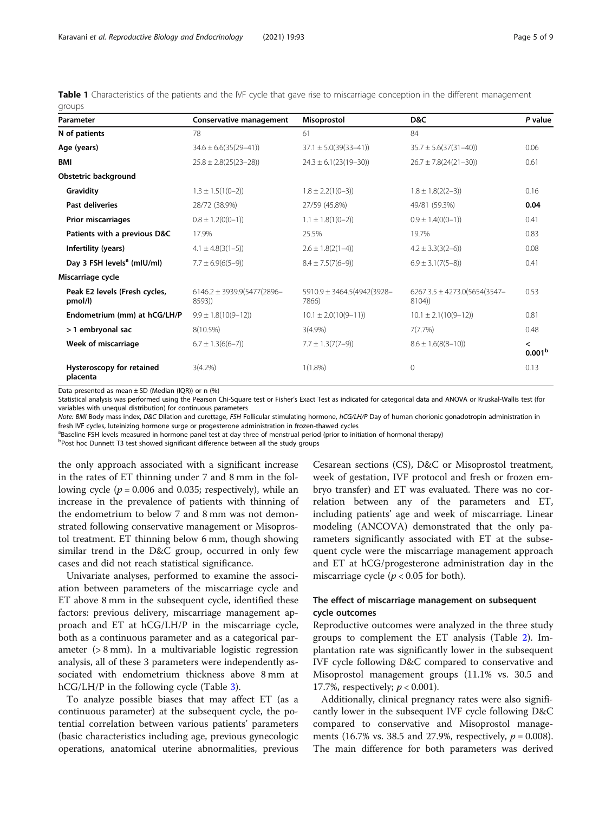<span id="page-4-0"></span>Table 1 Characteristics of the patients and the IVF cycle that gave rise to miscarriage conception in the different management groups

| Parameter                                | Conservative management                   | Misoprostol                         | D&C                                        | P value                                        |
|------------------------------------------|-------------------------------------------|-------------------------------------|--------------------------------------------|------------------------------------------------|
| N of patients                            | 78                                        | 61                                  | 84                                         |                                                |
| Age (years)                              | $34.6 \pm 6.6(35(29-41))$                 | $37.1 \pm 5.0(39(33-41))$           | $35.7 \pm 5.6(37(31-40))$                  | 0.06                                           |
| <b>BMI</b>                               | $25.8 \pm 2.8(25(23-28))$                 | $24.3 \pm 6.1(23(19-30))$           | $26.7 \pm 7.8(24(21-30))$                  | 0.61                                           |
| Obstetric background                     |                                           |                                     |                                            |                                                |
| Gravidity                                | $1.3 \pm 1.5(1(0-2))$                     | $1.8 \pm 2.2(1(0-3))$               | $1.8 \pm 1.8(2(2-3))$                      | 0.16                                           |
| Past deliveries                          | 28/72 (38.9%)                             | 27/59 (45.8%)                       | 49/81 (59.3%)                              | 0.04                                           |
| <b>Prior miscarriages</b>                | $0.8 \pm 1.2(0(0-1))$                     | $1.1 \pm 1.8(1(0-2))$               | $0.9 \pm 1.4(0(0-1))$                      | 0.41                                           |
| Patients with a previous D&C             | 17.9%                                     | 25.5%                               | 19.7%                                      | 0.83                                           |
| Infertility (years)                      | $4.1 \pm 4.8(3(1-5))$                     | $2.6 \pm 1.8(2(1-4))$               | $4.2 \pm 3.3(3(2-6))$                      | 0.08                                           |
| Day 3 FSH levels <sup>a</sup> (mIU/ml)   | $7.7 \pm 6.9(6(5-9))$                     | $8.4 \pm 7.5(7(6-9))$               | $6.9 \pm 3.1(7(5-8))$                      | 0.41                                           |
| Miscarriage cycle                        |                                           |                                     |                                            |                                                |
| Peak E2 levels (Fresh cycles,<br>pmol/l) | $6146.2 \pm 3939.9(5477(2896 -$<br>8593)) | 5910.9 ± 3464.5(4942(3928-<br>7866) | $6267.3.5 \pm 4273.0(5654(3547 -$<br>8104) | 0.53                                           |
| Endometrium (mm) at hCG/LH/P             | $9.9 \pm 1.8(10(9-12))$                   | $10.1 \pm 2.0(10(9-11))$            | $10.1 \pm 2.1(10(9-12))$                   | 0.81                                           |
| >1 embryonal sac                         | 8(10.5%)                                  | 3(4.9%)                             | 7(7.7%)                                    | 0.48                                           |
| Week of miscarriage                      | $6.7 \pm 1.3(6(6-7))$                     | $7.7 \pm 1.3(7(7-9))$               | $8.6 \pm 1.6(8(8-10))$                     | $\overline{\phantom{a}}$<br>0.001 <sup>b</sup> |
| Hysteroscopy for retained<br>placenta    | $3(4.2\%)$                                | $1(1.8\%)$                          | $\Omega$                                   | 0.13                                           |

Data presented as mean  $\pm$  SD (Median (IQR)) or n (%)

Statistical analysis was performed using the Pearson Chi-Square test or Fisher's Exact Test as indicated for categorical data and ANOVA or Kruskal-Wallis test (for variables with unequal distribution) for continuous parameters

Note: BMI Body mass index, D&C Dilation and curettage, FSH Follicular stimulating hormone, hCG/LH/P Day of human chorionic gonadotropin administration in fresh IVF cycles, luteinizing hormone surge or progesterone administration in frozen-thawed cycles

<sup>a</sup>Baseline FSH levels measured in hormone panel test at day three of menstrual period (prior to initiation of hormonal therapy)

<sup>b</sup>Post hoc Dunnett T3 test showed significant difference between all the study groups

the only approach associated with a significant increase in the rates of ET thinning under 7 and 8 mm in the following cycle ( $p = 0.006$  and 0.035; respectively), while an increase in the prevalence of patients with thinning of the endometrium to below 7 and 8 mm was not demonstrated following conservative management or Misoprostol treatment. ET thinning below 6 mm, though showing similar trend in the D&C group, occurred in only few cases and did not reach statistical significance.

Univariate analyses, performed to examine the association between parameters of the miscarriage cycle and ET above 8 mm in the subsequent cycle, identified these factors: previous delivery, miscarriage management approach and ET at hCG/LH/P in the miscarriage cycle, both as a continuous parameter and as a categorical parameter (> 8 mm). In a multivariable logistic regression analysis, all of these 3 parameters were independently associated with endometrium thickness above 8 mm at hCG/LH/P in the following cycle (Table [3](#page-5-0)).

To analyze possible biases that may affect ET (as a continuous parameter) at the subsequent cycle, the potential correlation between various patients' parameters (basic characteristics including age, previous gynecologic operations, anatomical uterine abnormalities, previous

Cesarean sections (CS), D&C or Misoprostol treatment, week of gestation, IVF protocol and fresh or frozen embryo transfer) and ET was evaluated. There was no correlation between any of the parameters and ET, including patients' age and week of miscarriage. Linear modeling (ANCOVA) demonstrated that the only parameters significantly associated with ET at the subsequent cycle were the miscarriage management approach and ET at hCG/progesterone administration day in the miscarriage cycle ( $p < 0.05$  for both).

#### The effect of miscarriage management on subsequent cycle outcomes

Reproductive outcomes were analyzed in the three study groups to complement the ET analysis (Table [2](#page-5-0)). Implantation rate was significantly lower in the subsequent IVF cycle following D&C compared to conservative and Misoprostol management groups (11.1% vs. 30.5 and 17.7%, respectively;  $p < 0.001$ ).

Additionally, clinical pregnancy rates were also significantly lower in the subsequent IVF cycle following D&C compared to conservative and Misoprostol managements (16.7% vs. 38.5 and 27.9%, respectively,  $p = 0.008$ ). The main difference for both parameters was derived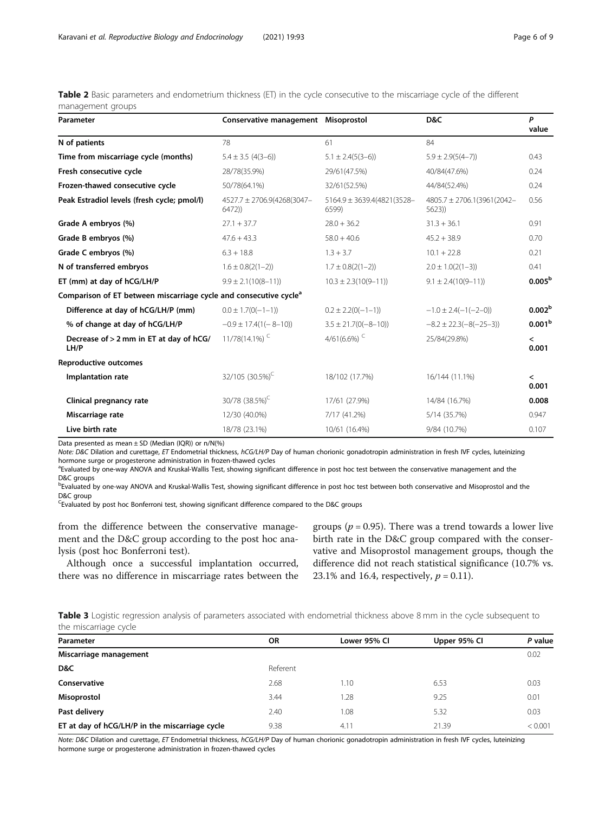<span id="page-5-0"></span>Table 2 Basic parameters and endometrium thickness (ET) in the cycle consecutive to the miscarriage cycle of the different management groups

| Parameter                                                                     | Conservative management Misoprostol |                                     | D&C                                 | P<br>value                        |
|-------------------------------------------------------------------------------|-------------------------------------|-------------------------------------|-------------------------------------|-----------------------------------|
| N of patients                                                                 | 78                                  | 61                                  | 84                                  |                                   |
| Time from miscarriage cycle (months)                                          | $5.4 \pm 3.5$ (4(3-6))              | $5.1 \pm 2.4(5(3-6))$               | $5.9 \pm 2.9(5(4-7))$               | 0.43                              |
| Fresh consecutive cycle                                                       | 28/78(35.9%)                        | 29/61(47.5%)                        | 40/84(47.6%)                        | 0.24                              |
| Frozen-thawed consecutive cycle                                               | 50/78(64.1%)                        | 32/61(52.5%)                        | 44/84(52.4%)                        | 0.24                              |
| Peak Estradiol levels (fresh cycle; pmol/l)                                   | 4527.7 ± 2706.9(4268(3047-<br>6472) | 5164.9 ± 3639.4(4821(3528-<br>6599) | 4805.7 ± 2706.1(3961(2042-<br>5623) | 0.56                              |
| Grade A embryos (%)                                                           | $27.1 + 37.7$                       | $28.0 + 36.2$                       | $31.3 + 36.1$                       | 0.91                              |
| Grade B embryos (%)                                                           | $47.6 + 43.3$                       | $58.0 + 40.6$                       | $45.2 + 38.9$                       | 0.70                              |
| Grade C embryos (%)                                                           | $6.3 + 18.8$                        | $1.3 + 3.7$                         | $10.1 + 22.8$                       | 0.21                              |
| N of transferred embryos                                                      | $1.6 \pm 0.8(2(1-2))$               | $1.7 \pm 0.8(2(1-2))$               | $2.0 \pm 1.0(2(1-3))$               | 0.41                              |
| ET (mm) at day of hCG/LH/P                                                    | $9.9 \pm 2.1(10(8-11))$             | $10.3 \pm 2.3(10(9-11))$            | $9.1 \pm 2.4(10(9-11))$             | 0.005 <sup>b</sup>                |
| Comparison of ET between miscarriage cycle and consecutive cycle <sup>a</sup> |                                     |                                     |                                     |                                   |
| Difference at day of hCG/LH/P (mm)                                            | $0.0 \pm 1.7(0(-1-1))$              | $0.2 \pm 2.2(0(-1-1))$              | $-1.0 \pm 2.4(-1(-2-0))$            | 0.002 <sup>b</sup>                |
| % of change at day of hCG/LH/P                                                | $-0.9 \pm 17.4(1(-8-10))$           | $3.5 \pm 21.7(0(-8-10))$            | $-8.2 \pm 22.3(-8(-25-3))$          | 0.001 <sup>b</sup>                |
| Decrease of > 2 mm in ET at day of hCG/<br>LH/P                               | 11/78(14.1%) <sup>C</sup>           | 4/61(6.6%) <sup>C</sup>             | 25/84(29.8%)                        | $\overline{\phantom{a}}$<br>0.001 |
| <b>Reproductive outcomes</b>                                                  |                                     |                                     |                                     |                                   |
| Implantation rate                                                             | 32/105 (30.5%) <sup>C</sup>         | 18/102 (17.7%)                      | 16/144 (11.1%)                      | $\overline{\phantom{a}}$<br>0.001 |
| Clinical pregnancy rate                                                       | 30/78 (38.5%) <sup>C</sup>          | 17/61 (27.9%)                       | 14/84 (16.7%)                       | 0.008                             |
| Miscarriage rate                                                              | 12/30 (40.0%)                       | 7/17 (41.2%)                        | 5/14 (35.7%)                        | 0.947                             |
| Live birth rate                                                               | 18/78 (23.1%)                       | 10/61 (16.4%)                       | 9/84 (10.7%)                        | 0.107                             |

Data presented as mean  $\pm$  SD (Median (IQR)) or n/N(%)

Note: D&C Dilation and curettage, ET Endometrial thickness, hCG/LH/P Day of human chorionic gonadotropin administration in fresh IVF cycles, luteinizing hormone surge or progesterone administration in frozen-thawed cycles

<sup>a</sup>Evaluated by one-way ANOVA and Kruskal-Wallis Test, showing significant difference in post hoc test between the conservative management and the D&C groups

bEvaluated by one-way ANOVA and Kruskal-Wallis Test, showing significant difference in post hoc test between both conservative and Misoprostol and the D&C group

<sup>C</sup>Evaluated by post hoc Bonferroni test, showing significant difference compared to the D&C groups

from the difference between the conservative management and the D&C group according to the post hoc analysis (post hoc Bonferroni test).

Although once a successful implantation occurred, there was no difference in miscarriage rates between the groups ( $p = 0.95$ ). There was a trend towards a lower live birth rate in the D&C group compared with the conservative and Misoprostol management groups, though the difference did not reach statistical significance (10.7% vs. 23.1% and 16.4, respectively,  $p = 0.11$ ).

Table 3 Logistic regression analysis of parameters associated with endometrial thickness above 8 mm in the cycle subsequent to the miscarriage cycle

| Parameter                                      | OR       | Lower 95% CI | Upper 95% Cl | P value |
|------------------------------------------------|----------|--------------|--------------|---------|
| Miscarriage management                         |          |              |              | 0.02    |
| D&C                                            | Referent |              |              |         |
| Conservative                                   | 2.68     | 1.10         | 6.53         | 0.03    |
| Misoprostol                                    | 3.44     | 1.28         | 9.25         | 0.01    |
| Past delivery                                  | 2.40     | 1.08         | 5.32         | 0.03    |
| ET at day of hCG/LH/P in the miscarriage cycle | 9.38     | 4.11         | 21.39        | < 0.001 |

Note: D&C Dilation and curettage, ET Endometrial thickness, hCG/LH/P Day of human chorionic gonadotropin administration in fresh IVF cycles, luteinizing hormone surge or progesterone administration in frozen-thawed cycles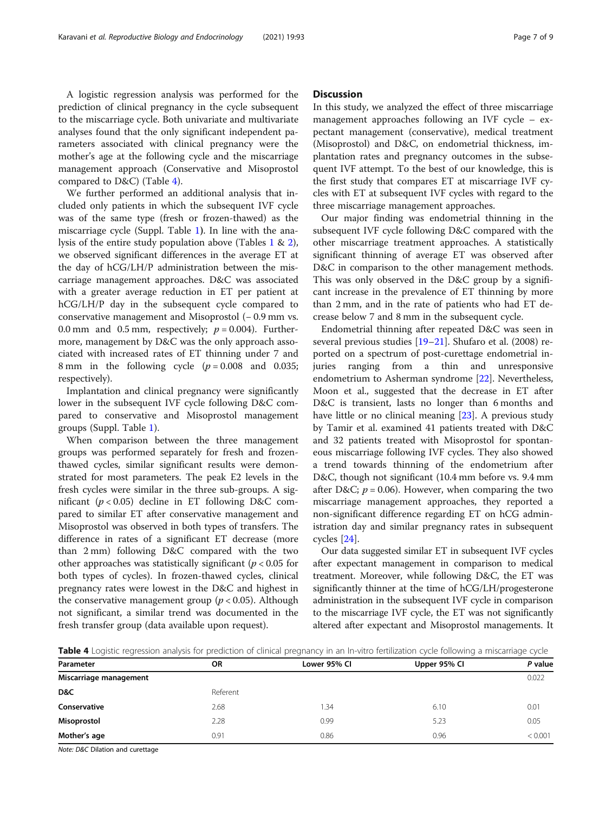A logistic regression analysis was performed for the prediction of clinical pregnancy in the cycle subsequent to the miscarriage cycle. Both univariate and multivariate analyses found that the only significant independent parameters associated with clinical pregnancy were the mother's age at the following cycle and the miscarriage management approach (Conservative and Misoprostol compared to D&C) (Table 4).

We further performed an additional analysis that included only patients in which the subsequent IVF cycle was of the same type (fresh or frozen-thawed) as the miscarriage cycle (Suppl. Table [1](#page-7-0)). In line with the analysis of the entire study population above (Tables [1](#page-4-0) & [2](#page-5-0)), we observed significant differences in the average ET at the day of hCG/LH/P administration between the miscarriage management approaches. D&C was associated with a greater average reduction in ET per patient at hCG/LH/P day in the subsequent cycle compared to conservative management and Misoprostol (− 0.9 mm vs. 0.0 mm and 0.5 mm, respectively;  $p = 0.004$ ). Furthermore, management by D&C was the only approach associated with increased rates of ET thinning under 7 and 8 mm in the following cycle  $(p = 0.008$  and 0.035; respectively).

Implantation and clinical pregnancy were significantly lower in the subsequent IVF cycle following D&C compared to conservative and Misoprostol management groups (Suppl. Table [1\)](#page-4-0).

When comparison between the three management groups was performed separately for fresh and frozenthawed cycles, similar significant results were demonstrated for most parameters. The peak E2 levels in the fresh cycles were similar in the three sub-groups. A significant ( $p < 0.05$ ) decline in ET following D&C compared to similar ET after conservative management and Misoprostol was observed in both types of transfers. The difference in rates of a significant ET decrease (more than 2 mm) following D&C compared with the two other approaches was statistically significant ( $p < 0.05$  for both types of cycles). In frozen-thawed cycles, clinical pregnancy rates were lowest in the D&C and highest in the conservative management group ( $p < 0.05$ ). Although not significant, a similar trend was documented in the fresh transfer group (data available upon request).

#### **Discussion**

In this study, we analyzed the effect of three miscarriage management approaches following an IVF cycle – expectant management (conservative), medical treatment (Misoprostol) and D&C, on endometrial thickness, implantation rates and pregnancy outcomes in the subsequent IVF attempt. To the best of our knowledge, this is the first study that compares ET at miscarriage IVF cycles with ET at subsequent IVF cycles with regard to the three miscarriage management approaches.

Our major finding was endometrial thinning in the subsequent IVF cycle following D&C compared with the other miscarriage treatment approaches. A statistically significant thinning of average ET was observed after D&C in comparison to the other management methods. This was only observed in the D&C group by a significant increase in the prevalence of ET thinning by more than 2 mm, and in the rate of patients who had ET decrease below 7 and 8 mm in the subsequent cycle.

Endometrial thinning after repeated D&C was seen in several previous studies [\[19](#page-8-0)–[21\]](#page-8-0). Shufaro et al. (2008) reported on a spectrum of post-curettage endometrial injuries ranging from a thin and unresponsive endometrium to Asherman syndrome [\[22](#page-8-0)]. Nevertheless, Moon et al., suggested that the decrease in ET after D&C is transient, lasts no longer than 6 months and have little or no clinical meaning [\[23](#page-8-0)]. A previous study by Tamir et al. examined 41 patients treated with D&C and 32 patients treated with Misoprostol for spontaneous miscarriage following IVF cycles. They also showed a trend towards thinning of the endometrium after D&C, though not significant (10.4 mm before vs. 9.4 mm after D&C;  $p = 0.06$ ). However, when comparing the two miscarriage management approaches, they reported a non-significant difference regarding ET on hCG administration day and similar pregnancy rates in subsequent cycles [[24\]](#page-8-0).

Our data suggested similar ET in subsequent IVF cycles after expectant management in comparison to medical treatment. Moreover, while following D&C, the ET was significantly thinner at the time of hCG/LH/progesterone administration in the subsequent IVF cycle in comparison to the miscarriage IVF cycle, the ET was not significantly altered after expectant and Misoprostol managements. It

Table 4 Logistic regression analysis for prediction of clinical pregnancy in an In-vitro fertilization cycle following a miscarriage cycle

| Parameter              | <b>OR</b> | Lower 95% CI | Upper 95% Cl | P value |
|------------------------|-----------|--------------|--------------|---------|
| Miscarriage management |           |              |              | 0.022   |
| D&C                    | Referent  |              |              |         |
| Conservative           | 2.68      | .34          | 6.10         | 0.01    |
| Misoprostol            | 2.28      | 0.99         | 5.23         | 0.05    |
| Mother's age           | 0.91      | 0.86         | 0.96         | < 0.001 |
|                        |           |              |              |         |

Note: D&C Dilation and curettage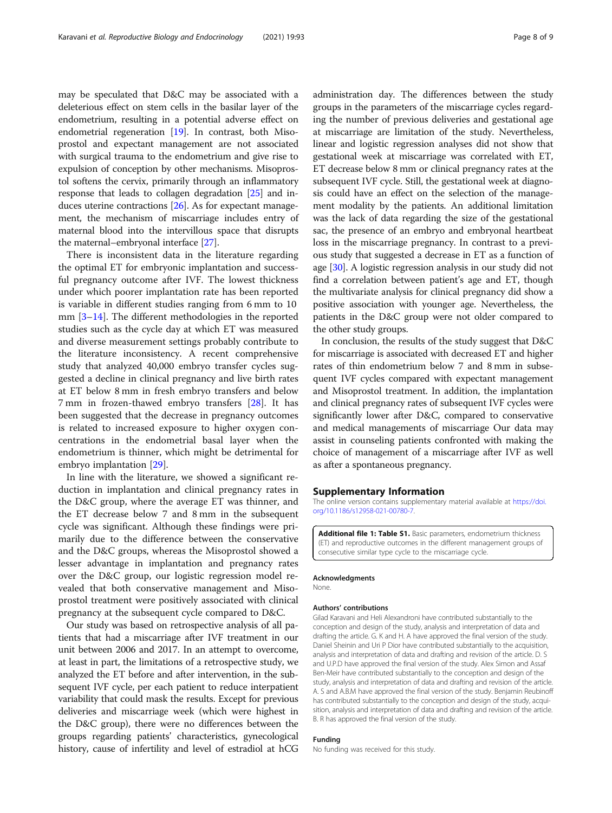<span id="page-7-0"></span>may be speculated that D&C may be associated with a deleterious effect on stem cells in the basilar layer of the endometrium, resulting in a potential adverse effect on endometrial regeneration  $[19]$ . In contrast, both Misoprostol and expectant management are not associated with surgical trauma to the endometrium and give rise to expulsion of conception by other mechanisms. Misoprostol softens the cervix, primarily through an inflammatory response that leads to collagen degradation [\[25](#page-8-0)] and induces uterine contractions [\[26\]](#page-8-0). As for expectant management, the mechanism of miscarriage includes entry of maternal blood into the intervillous space that disrupts the maternal–embryonal interface [[27](#page-8-0)].

There is inconsistent data in the literature regarding the optimal ET for embryonic implantation and successful pregnancy outcome after IVF. The lowest thickness under which poorer implantation rate has been reported is variable in different studies ranging from 6 mm to 10 mm [\[3](#page-8-0)–[14](#page-8-0)]. The different methodologies in the reported studies such as the cycle day at which ET was measured and diverse measurement settings probably contribute to the literature inconsistency. A recent comprehensive study that analyzed 40,000 embryo transfer cycles suggested a decline in clinical pregnancy and live birth rates at ET below 8 mm in fresh embryo transfers and below 7 mm in frozen-thawed embryo transfers [\[28\]](#page-8-0). It has been suggested that the decrease in pregnancy outcomes is related to increased exposure to higher oxygen concentrations in the endometrial basal layer when the endometrium is thinner, which might be detrimental for embryo implantation [[29\]](#page-8-0).

In line with the literature, we showed a significant reduction in implantation and clinical pregnancy rates in the D&C group, where the average ET was thinner, and the ET decrease below 7 and 8 mm in the subsequent cycle was significant. Although these findings were primarily due to the difference between the conservative and the D&C groups, whereas the Misoprostol showed a lesser advantage in implantation and pregnancy rates over the D&C group, our logistic regression model revealed that both conservative management and Misoprostol treatment were positively associated with clinical pregnancy at the subsequent cycle compared to D&C.

Our study was based on retrospective analysis of all patients that had a miscarriage after IVF treatment in our unit between 2006 and 2017. In an attempt to overcome, at least in part, the limitations of a retrospective study, we analyzed the ET before and after intervention, in the subsequent IVF cycle, per each patient to reduce interpatient variability that could mask the results. Except for previous deliveries and miscarriage week (which were highest in the D&C group), there were no differences between the groups regarding patients' characteristics, gynecological history, cause of infertility and level of estradiol at hCG

administration day. The differences between the study groups in the parameters of the miscarriage cycles regarding the number of previous deliveries and gestational age at miscarriage are limitation of the study. Nevertheless, linear and logistic regression analyses did not show that gestational week at miscarriage was correlated with ET, ET decrease below 8 mm or clinical pregnancy rates at the subsequent IVF cycle. Still, the gestational week at diagnosis could have an effect on the selection of the management modality by the patients. An additional limitation was the lack of data regarding the size of the gestational sac, the presence of an embryo and embryonal heartbeat loss in the miscarriage pregnancy. In contrast to a previous study that suggested a decrease in ET as a function of age [[30](#page-8-0)]. A logistic regression analysis in our study did not find a correlation between patient's age and ET, though the multivariate analysis for clinical pregnancy did show a positive association with younger age. Nevertheless, the patients in the D&C group were not older compared to the other study groups.

In conclusion, the results of the study suggest that D&C for miscarriage is associated with decreased ET and higher rates of thin endometrium below 7 and 8 mm in subsequent IVF cycles compared with expectant management and Misoprostol treatment. In addition, the implantation and clinical pregnancy rates of subsequent IVF cycles were significantly lower after D&C, compared to conservative and medical managements of miscarriage Our data may assist in counseling patients confronted with making the choice of management of a miscarriage after IVF as well as after a spontaneous pregnancy.

#### Supplementary Information

The online version contains supplementary material available at [https://doi.](https://doi.org/10.1186/s12958-021-00780-7) [org/10.1186/s12958-021-00780-7.](https://doi.org/10.1186/s12958-021-00780-7)

Additional file 1: Table S1. Basic parameters, endometrium thickness (ET) and reproductive outcomes in the different management groups of consecutive similar type cycle to the miscarriage cycle.

#### Acknowledgments

None.

#### Authors' contributions

Gilad Karavani and Heli Alexandroni have contributed substantially to the conception and design of the study, analysis and interpretation of data and drafting the article. G. K and H. A have approved the final version of the study. Daniel Sheinin and Uri P Dior have contributed substantially to the acquisition, analysis and interpretation of data and drafting and revision of the article. D. S and U.P.D have approved the final version of the study. Alex Simon and Assaf Ben-Meir have contributed substantially to the conception and design of the study, analysis and interpretation of data and drafting and revision of the article. A. S and A.B.M have approved the final version of the study. Benjamin Reubinoff has contributed substantially to the conception and design of the study, acquisition, analysis and interpretation of data and drafting and revision of the article. B. R has approved the final version of the study.

#### Funding

No funding was received for this study.